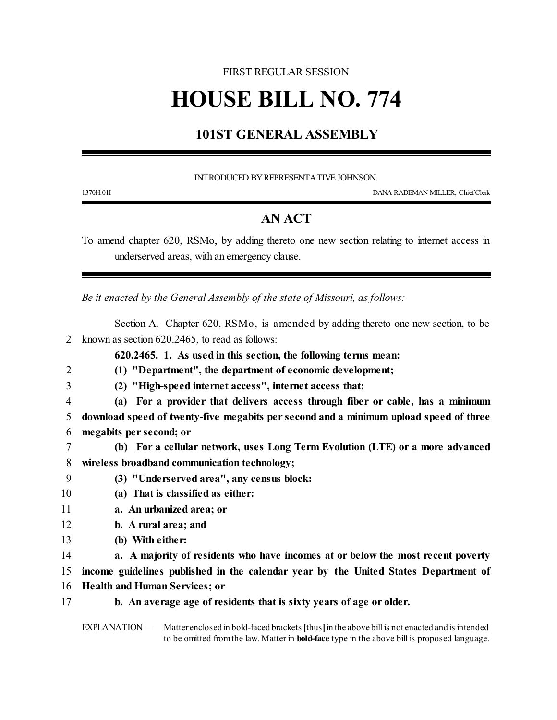### FIRST REGULAR SESSION

# **HOUSE BILL NO. 774**

# **101ST GENERAL ASSEMBLY**

#### INTRODUCED BY REPRESENTATIVE JOHNSON.

1370H.01I DANA RADEMAN MILLER, ChiefClerk

## **AN ACT**

To amend chapter 620, RSMo, by adding thereto one new section relating to internet access in underserved areas, with an emergency clause.

*Be it enacted by the General Assembly of the state of Missouri, as follows:*

- Section A. Chapter 620, RSMo, is amended by adding thereto one new section, to be 2 known as section 620.2465, to read as follows:
	- **620.2465. 1. As used in this section, the following terms mean:**
- 2 **(1) "Department", the department of economic development;**
- 
- 3 **(2) "High-speed internet access", internet access that:**
- 4 **(a) For a provider that delivers access through fiber or cable, has a minimum** 5 **download speed of twenty-five megabits per second and a minimum upload speed of three** 6 **megabits per second; or**
- 7 **(b) For a cellular network, uses Long Term Evolution (LTE) or a more advanced** 8 **wireless broadband communication technology;**
- 9 **(3) "Underserved area", any census block:**
- 10 **(a) That is classified as either:**
- 11 **a. An urbanized area; or**
- 12 **b. A rural area; and**
- 13 **(b) With either:**
- 14 **a. A majority of residents who have incomes at or below the most recent poverty**

15 **income guidelines published in the calendar year by the United States Department of**

- 16 **Health and Human Services; or**
- 17 **b. An average age of residents that is sixty years of age or older.**

EXPLANATION — Matter enclosed in bold-faced brackets **[**thus**]**in the above bill is not enacted and is intended to be omitted fromthe law. Matter in **bold-face** type in the above bill is proposed language.